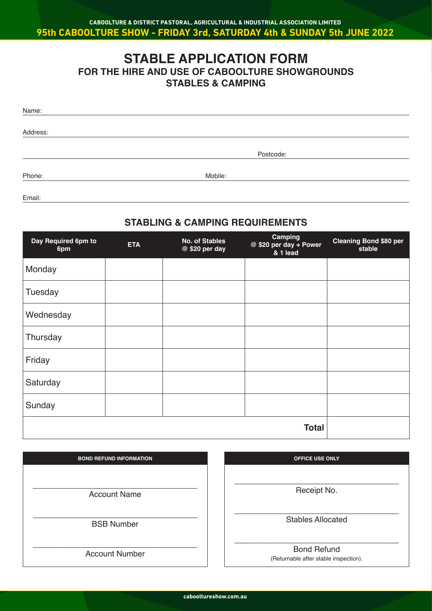## **STABLE APPLICATION FORM FOR THE HIRE AND USE OF CABOOLTURE SHOWGROUNDS STABLES & CAMPING**

| Name:    |           |
|----------|-----------|
| Address: |           |
|          | Postcode: |
| Phone:   | Mobile:   |

Email:

## **STABLING & CAMPING REQUIREMENTS**

| Day Required 6pm to<br>6pm | <b>ETA</b> | <b>No. of Stables</b><br>@ \$20 per day | Camping<br>@ \$20 per day + Power<br>& 1 lead | <b>Cleaning Bond \$80 per</b><br>stable |
|----------------------------|------------|-----------------------------------------|-----------------------------------------------|-----------------------------------------|
| Monday                     |            |                                         |                                               |                                         |
| Tuesday                    |            |                                         |                                               |                                         |
| Wednesday                  |            |                                         |                                               |                                         |
| Thursday                   |            |                                         |                                               |                                         |
| Friday                     |            |                                         |                                               |                                         |
| Saturday                   |            |                                         |                                               |                                         |
| Sunday                     |            |                                         |                                               |                                         |
|                            |            |                                         | <b>Total</b>                                  |                                         |

| <b>BOND REFUND INFORMATION</b> |  |  |
|--------------------------------|--|--|
|                                |  |  |
|                                |  |  |
| <b>Account Name</b>            |  |  |
|                                |  |  |
| <b>BSB Number</b>              |  |  |
|                                |  |  |
|                                |  |  |
| <b>Account Number</b>          |  |  |

| <b>OFFICE USE ONLY</b>   |
|--------------------------|
|                          |
|                          |
| Receipt No.              |
|                          |
|                          |
| <b>Stables Allocated</b> |
|                          |
|                          |
| <b>Bond Refund</b>       |

(Returnable after stable inspection).